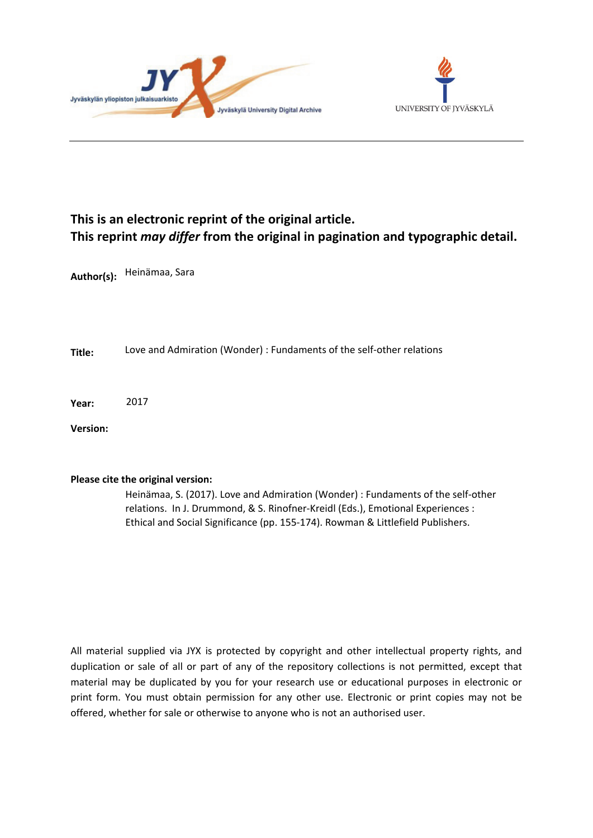



# **This is an electronic reprint of the original article. This reprint** *may differ* **from the original in pagination and typographic detail.**

**Author(s):**  Heinämaa, Sara

**Title:** Love and Admiration (Wonder) : Fundaments of the self-other relations

**Year:**  2017

**Version:**

## **Please cite the original version:**

Heinämaa, S. (2017). Love and Admiration (Wonder) : Fundaments of the self-other relations. In J. Drummond, & S. Rinofner-Kreidl (Eds.), Emotional Experiences : Ethical and Social Significance (pp. 155-174). Rowman & Littlefield Publishers.

All material supplied via JYX is protected by copyright and other intellectual property rights, and duplication or sale of all or part of any of the repository collections is not permitted, except that material may be duplicated by you for your research use or educational purposes in electronic or print form. You must obtain permission for any other use. Electronic or print copies may not be offered, whether for sale or otherwise to anyone who is not an authorised user.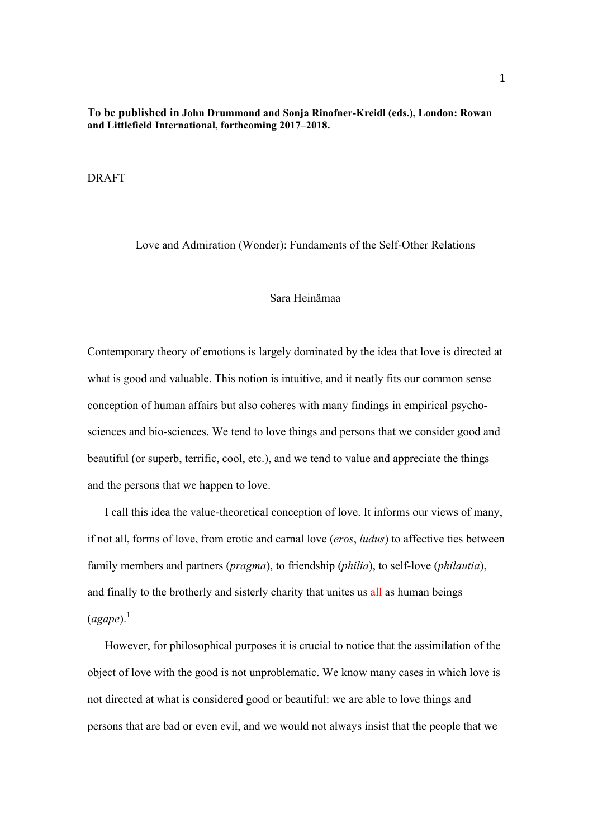**To be published in John Drummond and Sonja Rinofner-Kreidl (eds.), London: Rowan and Littlefield International, forthcoming 2017–2018.**

DRAFT

Love and Admiration (Wonder): Fundaments of the Self-Other Relations

## Sara Heinämaa

Contemporary theory of emotions is largely dominated by the idea that love is directed at what is good and valuable. This notion is intuitive, and it neatly fits our common sense conception of human affairs but also coheres with many findings in empirical psychosciences and bio-sciences. We tend to love things and persons that we consider good and beautiful (or superb, terrific, cool, etc.), and we tend to value and appreciate the things and the persons that we happen to love.

I call this idea the value-theoretical conception of love. It informs our views of many, if not all, forms of love, from erotic and carnal love (*eros*, *ludus*) to affective ties between family members and partners (*pragma*), to friendship (*philia*), to self-love (*philautia*), and finally to the brotherly and sisterly charity that unites us all as human beings  $(agape).$ <sup>1</sup>

However, for philosophical purposes it is crucial to notice that the assimilation of the object of love with the good is not unproblematic. We know many cases in which love is not directed at what is considered good or beautiful: we are able to love things and persons that are bad or even evil, and we would not always insist that the people that we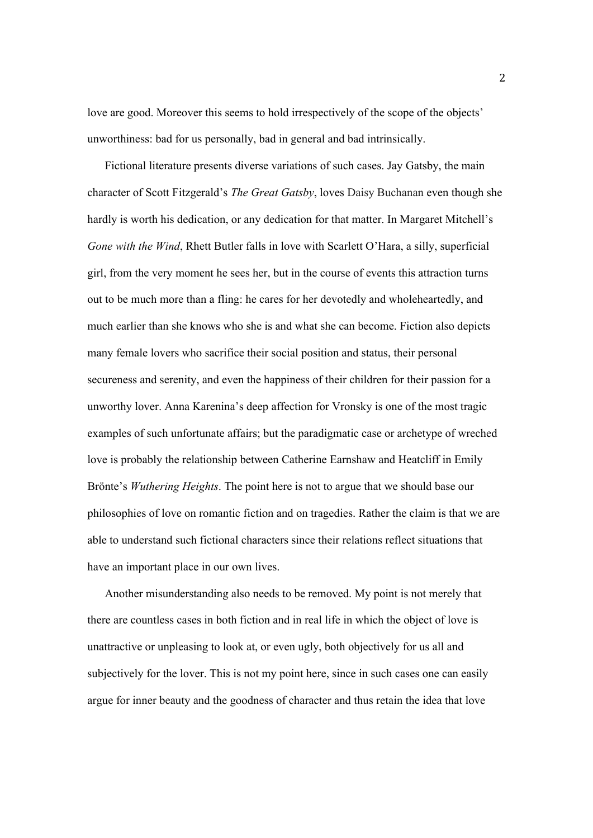love are good. Moreover this seems to hold irrespectively of the scope of the objects' unworthiness: bad for us personally, bad in general and bad intrinsically.

Fictional literature presents diverse variations of such cases. Jay Gatsby, the main character of Scott Fitzgerald's *The Great Gatsby*, loves Daisy Buchanan even though she hardly is worth his dedication, or any dedication for that matter. In Margaret Mitchell's *Gone with the Wind*, Rhett Butler falls in love with Scarlett O'Hara, a silly, superficial girl, from the very moment he sees her, but in the course of events this attraction turns out to be much more than a fling: he cares for her devotedly and wholeheartedly, and much earlier than she knows who she is and what she can become. Fiction also depicts many female lovers who sacrifice their social position and status, their personal secureness and serenity, and even the happiness of their children for their passion for a unworthy lover. Anna Karenina's deep affection for Vronsky is one of the most tragic examples of such unfortunate affairs; but the paradigmatic case or archetype of wreched love is probably the relationship between Catherine Earnshaw and Heatcliff in Emily Brönte's *Wuthering Heights*. The point here is not to argue that we should base our philosophies of love on romantic fiction and on tragedies. Rather the claim is that we are able to understand such fictional characters since their relations reflect situations that have an important place in our own lives.

Another misunderstanding also needs to be removed. My point is not merely that there are countless cases in both fiction and in real life in which the object of love is unattractive or unpleasing to look at, or even ugly, both objectively for us all and subjectively for the lover. This is not my point here, since in such cases one can easily argue for inner beauty and the goodness of character and thus retain the idea that love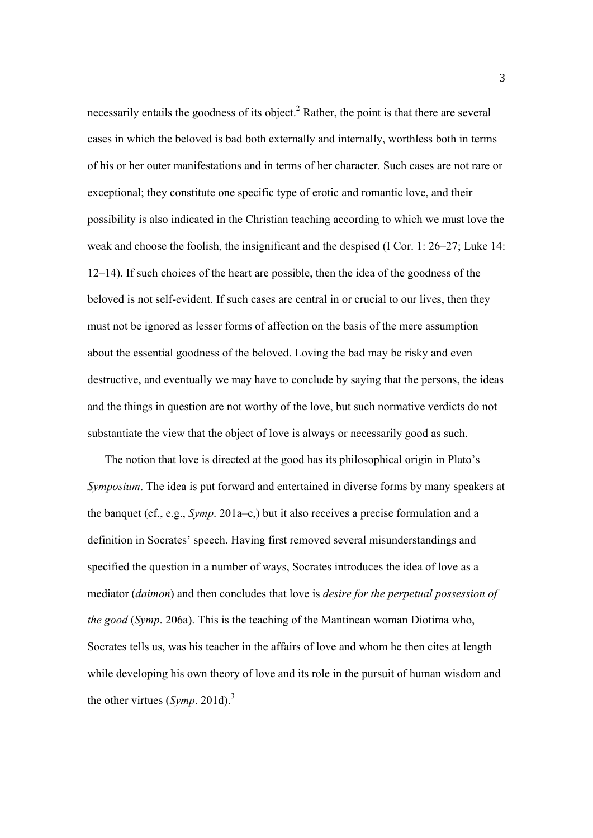necessarily entails the goodness of its object.<sup>2</sup> Rather, the point is that there are several cases in which the beloved is bad both externally and internally, worthless both in terms of his or her outer manifestations and in terms of her character. Such cases are not rare or exceptional; they constitute one specific type of erotic and romantic love, and their possibility is also indicated in the Christian teaching according to which we must love the weak and choose the foolish, the insignificant and the despised (I Cor. 1: 26–27; Luke 14: 12–14). If such choices of the heart are possible, then the idea of the goodness of the beloved is not self-evident. If such cases are central in or crucial to our lives, then they must not be ignored as lesser forms of affection on the basis of the mere assumption about the essential goodness of the beloved. Loving the bad may be risky and even destructive, and eventually we may have to conclude by saying that the persons, the ideas and the things in question are not worthy of the love, but such normative verdicts do not substantiate the view that the object of love is always or necessarily good as such.

The notion that love is directed at the good has its philosophical origin in Plato's *Symposium*. The idea is put forward and entertained in diverse forms by many speakers at the banquet (cf., e.g., *Symp*. 201a–c,) but it also receives a precise formulation and a definition in Socrates' speech. Having first removed several misunderstandings and specified the question in a number of ways, Socrates introduces the idea of love as a mediator (*daimon*) and then concludes that love is *desire for the perpetual possession of the good* (*Symp*. 206a). This is the teaching of the Mantinean woman Diotima who, Socrates tells us, was his teacher in the affairs of love and whom he then cites at length while developing his own theory of love and its role in the pursuit of human wisdom and the other virtues (*Symp*. 201d).<sup>3</sup>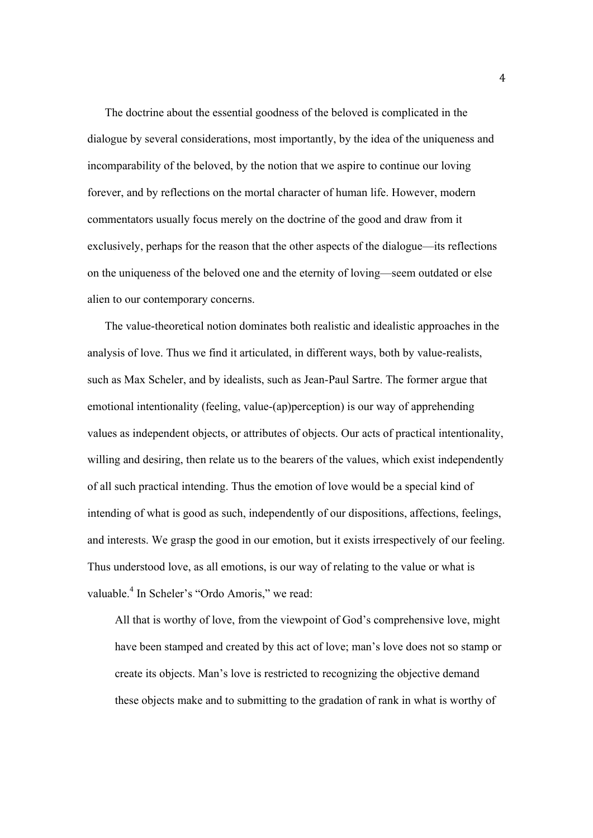The doctrine about the essential goodness of the beloved is complicated in the dialogue by several considerations, most importantly, by the idea of the uniqueness and incomparability of the beloved, by the notion that we aspire to continue our loving forever, and by reflections on the mortal character of human life. However, modern commentators usually focus merely on the doctrine of the good and draw from it exclusively, perhaps for the reason that the other aspects of the dialogue—its reflections on the uniqueness of the beloved one and the eternity of loving—seem outdated or else alien to our contemporary concerns.

The value-theoretical notion dominates both realistic and idealistic approaches in the analysis of love. Thus we find it articulated, in different ways, both by value-realists, such as Max Scheler, and by idealists, such as Jean-Paul Sartre. The former argue that emotional intentionality (feeling, value-(ap)perception) is our way of apprehending values as independent objects, or attributes of objects. Our acts of practical intentionality, willing and desiring, then relate us to the bearers of the values, which exist independently of all such practical intending. Thus the emotion of love would be a special kind of intending of what is good as such, independently of our dispositions, affections, feelings, and interests. We grasp the good in our emotion, but it exists irrespectively of our feeling. Thus understood love, as all emotions, is our way of relating to the value or what is valuable.<sup>4</sup> In Scheler's "Ordo Amoris," we read:

All that is worthy of love, from the viewpoint of God's comprehensive love, might have been stamped and created by this act of love; man's love does not so stamp or create its objects. Man's love is restricted to recognizing the objective demand these objects make and to submitting to the gradation of rank in what is worthy of

4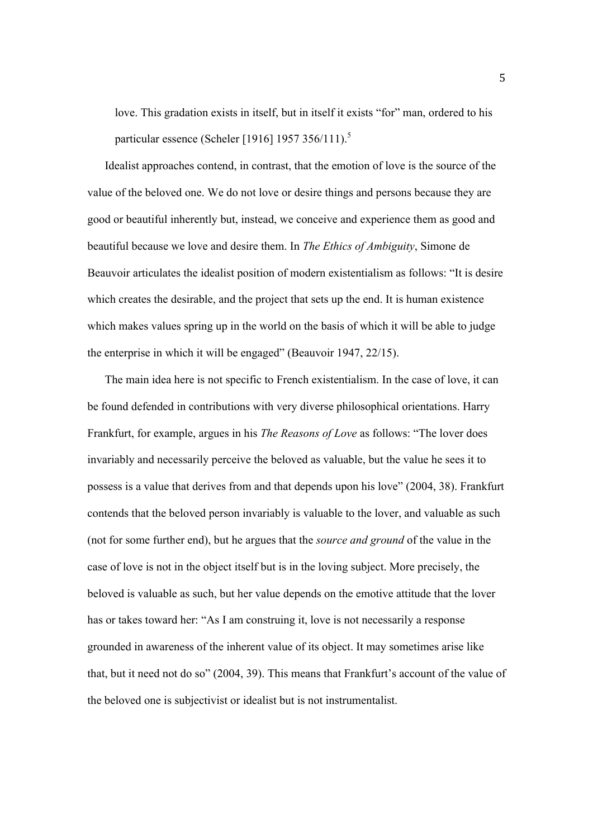love. This gradation exists in itself, but in itself it exists "for" man, ordered to his particular essence (Scheler [1916] 1957 356/111).<sup>5</sup>

Idealist approaches contend, in contrast, that the emotion of love is the source of the value of the beloved one. We do not love or desire things and persons because they are good or beautiful inherently but, instead, we conceive and experience them as good and beautiful because we love and desire them. In *The Ethics of Ambiguity*, Simone de Beauvoir articulates the idealist position of modern existentialism as follows: "It is desire which creates the desirable, and the project that sets up the end. It is human existence which makes values spring up in the world on the basis of which it will be able to judge the enterprise in which it will be engaged" (Beauvoir 1947, 22/15).

The main idea here is not specific to French existentialism. In the case of love, it can be found defended in contributions with very diverse philosophical orientations. Harry Frankfurt, for example, argues in his *The Reasons of Love* as follows: "The lover does invariably and necessarily perceive the beloved as valuable, but the value he sees it to possess is a value that derives from and that depends upon his love" (2004, 38). Frankfurt contends that the beloved person invariably is valuable to the lover, and valuable as such (not for some further end), but he argues that the *source and ground* of the value in the case of love is not in the object itself but is in the loving subject. More precisely, the beloved is valuable as such, but her value depends on the emotive attitude that the lover has or takes toward her: "As I am construing it, love is not necessarily a response grounded in awareness of the inherent value of its object. It may sometimes arise like that, but it need not do so" (2004, 39). This means that Frankfurt's account of the value of the beloved one is subjectivist or idealist but is not instrumentalist.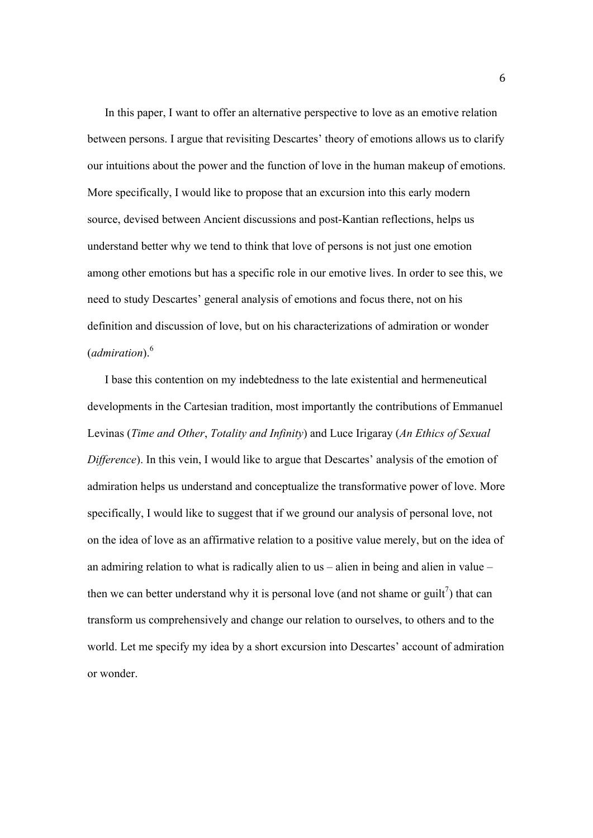In this paper, I want to offer an alternative perspective to love as an emotive relation between persons. I argue that revisiting Descartes' theory of emotions allows us to clarify our intuitions about the power and the function of love in the human makeup of emotions. More specifically, I would like to propose that an excursion into this early modern source, devised between Ancient discussions and post-Kantian reflections, helps us understand better why we tend to think that love of persons is not just one emotion among other emotions but has a specific role in our emotive lives. In order to see this, we need to study Descartes' general analysis of emotions and focus there, not on his definition and discussion of love, but on his characterizations of admiration or wonder (*admiration*). 6

I base this contention on my indebtedness to the late existential and hermeneutical developments in the Cartesian tradition, most importantly the contributions of Emmanuel Levinas (*Time and Other*, *Totality and Infinity*) and Luce Irigaray (*An Ethics of Sexual Difference*). In this vein, I would like to argue that Descartes' analysis of the emotion of admiration helps us understand and conceptualize the transformative power of love. More specifically, I would like to suggest that if we ground our analysis of personal love, not on the idea of love as an affirmative relation to a positive value merely, but on the idea of an admiring relation to what is radically alien to us – alien in being and alien in value – then we can better understand why it is personal love (and not shame or guilt<sup>7</sup>) that can transform us comprehensively and change our relation to ourselves, to others and to the world. Let me specify my idea by a short excursion into Descartes' account of admiration or wonder.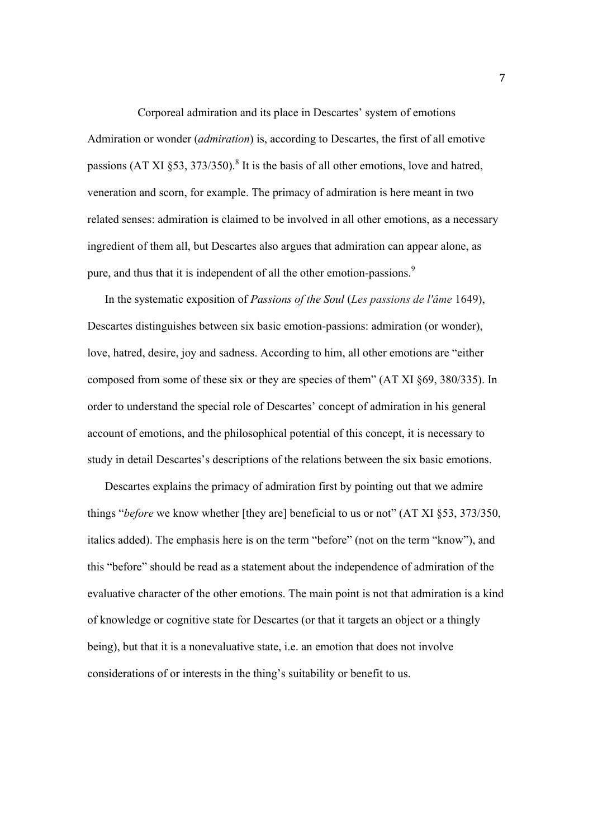Corporeal admiration and its place in Descartes' system of emotions Admiration or wonder (*admiration*) is, according to Descartes, the first of all emotive passions (AT XI  $$53, 373/350$ ).<sup>8</sup> It is the basis of all other emotions, love and hatred, veneration and scorn, for example. The primacy of admiration is here meant in two related senses: admiration is claimed to be involved in all other emotions, as a necessary ingredient of them all, but Descartes also argues that admiration can appear alone, as pure, and thus that it is independent of all the other emotion-passions.<sup>9</sup>

In the systematic exposition of *Passions of the Soul* (*Les passions de l'âme* 1649), Descartes distinguishes between six basic emotion-passions: admiration (or wonder), love, hatred, desire, joy and sadness. According to him, all other emotions are "either composed from some of these six or they are species of them" (AT XI §69, 380/335). In order to understand the special role of Descartes' concept of admiration in his general account of emotions, and the philosophical potential of this concept, it is necessary to study in detail Descartes's descriptions of the relations between the six basic emotions.

Descartes explains the primacy of admiration first by pointing out that we admire things "*before* we know whether [they are] beneficial to us or not" (AT XI §53, 373/350, italics added). The emphasis here is on the term "before" (not on the term "know"), and this "before" should be read as a statement about the independence of admiration of the evaluative character of the other emotions. The main point is not that admiration is a kind of knowledge or cognitive state for Descartes (or that it targets an object or a thingly being), but that it is a nonevaluative state, i.e. an emotion that does not involve considerations of or interests in the thing's suitability or benefit to us.

7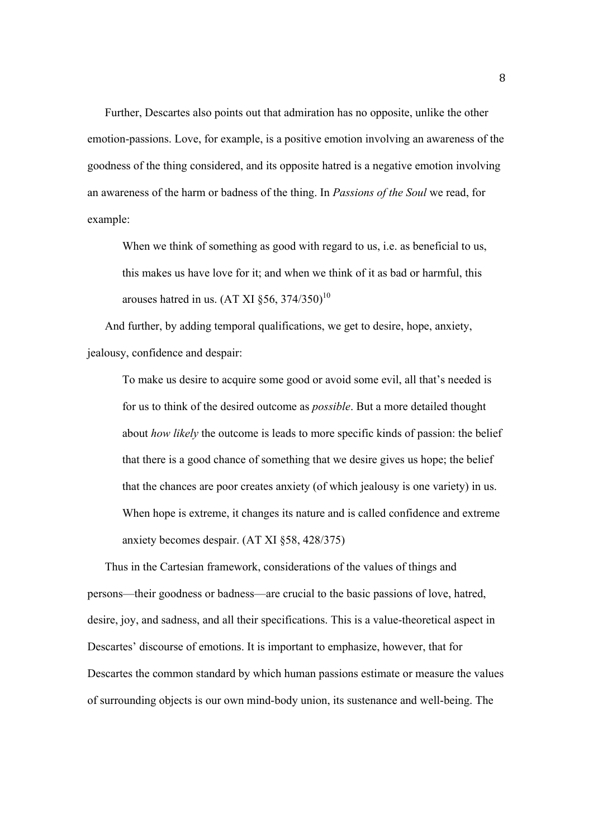Further, Descartes also points out that admiration has no opposite, unlike the other emotion-passions. Love, for example, is a positive emotion involving an awareness of the goodness of the thing considered, and its opposite hatred is a negative emotion involving an awareness of the harm or badness of the thing. In *Passions of the Soul* we read, for example:

When we think of something as good with regard to us, i.e. as beneficial to us, this makes us have love for it; and when we think of it as bad or harmful, this arouses hatred in us.  $(AT XI \$ §56, 374/350)<sup>10</sup>

And further, by adding temporal qualifications, we get to desire, hope, anxiety, jealousy, confidence and despair:

To make us desire to acquire some good or avoid some evil, all that's needed is for us to think of the desired outcome as *possible*. But a more detailed thought about *how likely* the outcome is leads to more specific kinds of passion: the belief that there is a good chance of something that we desire gives us hope; the belief that the chances are poor creates anxiety (of which jealousy is one variety) in us. When hope is extreme, it changes its nature and is called confidence and extreme anxiety becomes despair. (AT XI §58, 428/375)

Thus in the Cartesian framework, considerations of the values of things and persons—their goodness or badness—are crucial to the basic passions of love, hatred, desire, joy, and sadness, and all their specifications. This is a value-theoretical aspect in Descartes' discourse of emotions. It is important to emphasize, however, that for Descartes the common standard by which human passions estimate or measure the values of surrounding objects is our own mind-body union, its sustenance and well-being. The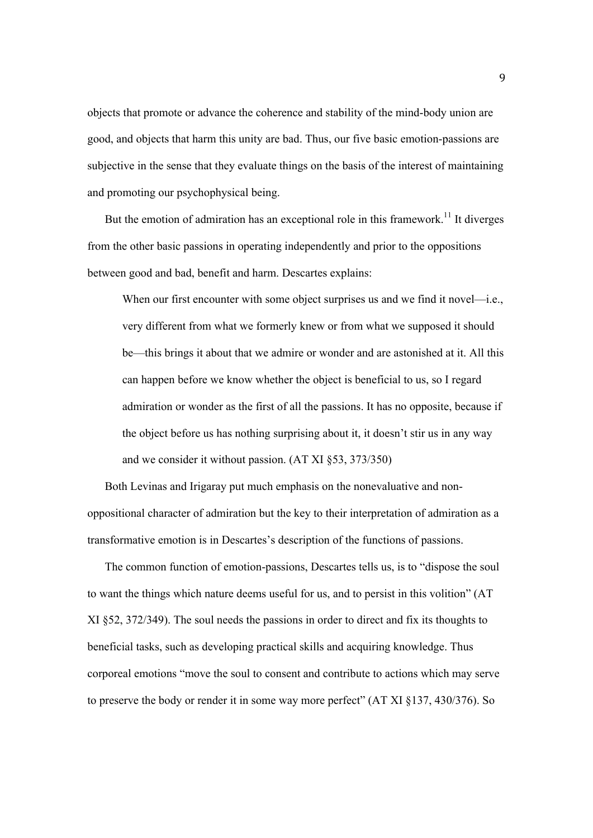objects that promote or advance the coherence and stability of the mind-body union are good, and objects that harm this unity are bad. Thus, our five basic emotion-passions are subjective in the sense that they evaluate things on the basis of the interest of maintaining and promoting our psychophysical being.

But the emotion of admiration has an exceptional role in this framework.<sup>11</sup> It diverges from the other basic passions in operating independently and prior to the oppositions between good and bad, benefit and harm. Descartes explains:

When our first encounter with some object surprises us and we find it novel—i.e., very different from what we formerly knew or from what we supposed it should be—this brings it about that we admire or wonder and are astonished at it. All this can happen before we know whether the object is beneficial to us, so I regard admiration or wonder as the first of all the passions. It has no opposite, because if the object before us has nothing surprising about it, it doesn't stir us in any way and we consider it without passion. (AT XI §53, 373/350)

Both Levinas and Irigaray put much emphasis on the nonevaluative and nonoppositional character of admiration but the key to their interpretation of admiration as a transformative emotion is in Descartes's description of the functions of passions.

The common function of emotion-passions, Descartes tells us, is to "dispose the soul to want the things which nature deems useful for us, and to persist in this volition" (AT XI §52, 372/349). The soul needs the passions in order to direct and fix its thoughts to beneficial tasks, such as developing practical skills and acquiring knowledge. Thus corporeal emotions "move the soul to consent and contribute to actions which may serve to preserve the body or render it in some way more perfect" (AT XI §137, 430/376). So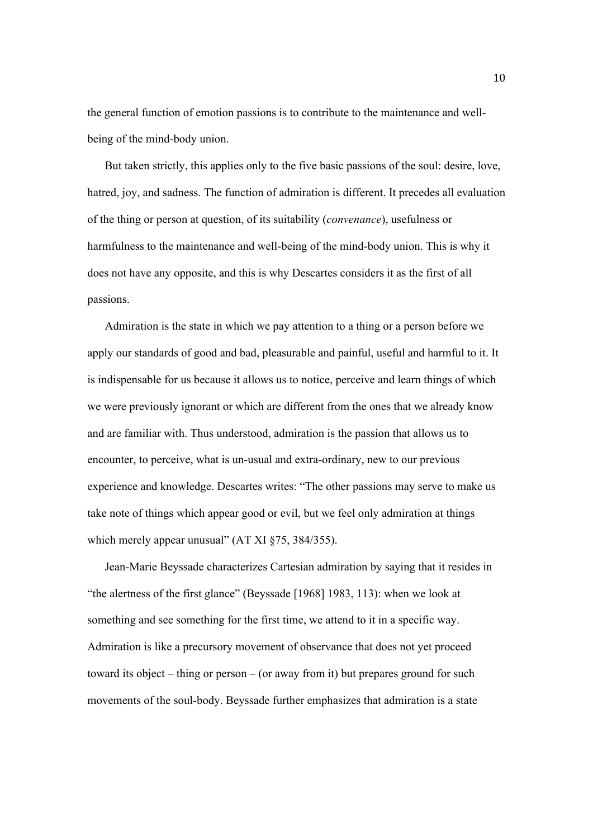the general function of emotion passions is to contribute to the maintenance and wellbeing of the mind-body union.

But taken strictly, this applies only to the five basic passions of the soul: desire, love, hatred, joy, and sadness. The function of admiration is different. It precedes all evaluation of the thing or person at question, of its suitability (*convenance*), usefulness or harmfulness to the maintenance and well-being of the mind-body union. This is why it does not have any opposite, and this is why Descartes considers it as the first of all passions.

Admiration is the state in which we pay attention to a thing or a person before we apply our standards of good and bad, pleasurable and painful, useful and harmful to it. It is indispensable for us because it allows us to notice, perceive and learn things of which we were previously ignorant or which are different from the ones that we already know and are familiar with. Thus understood, admiration is the passion that allows us to encounter, to perceive, what is un-usual and extra-ordinary, new to our previous experience and knowledge. Descartes writes: "The other passions may serve to make us take note of things which appear good or evil, but we feel only admiration at things which merely appear unusual" (AT XI §75, 384/355).

Jean-Marie Beyssade characterizes Cartesian admiration by saying that it resides in "the alertness of the first glance" (Beyssade [1968] 1983, 113): when we look at something and see something for the first time, we attend to it in a specific way. Admiration is like a precursory movement of observance that does not yet proceed toward its object – thing or person – (or away from it) but prepares ground for such movements of the soul-body. Beyssade further emphasizes that admiration is a state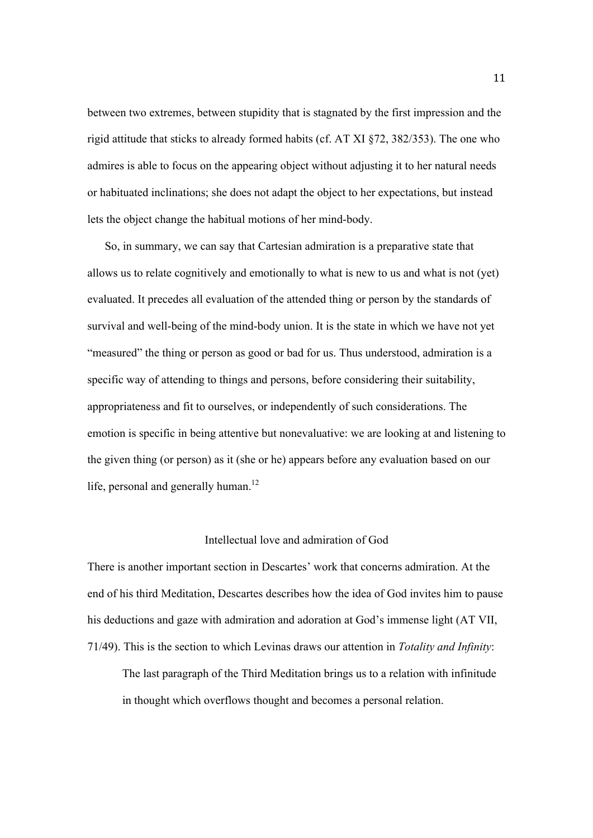between two extremes, between stupidity that is stagnated by the first impression and the rigid attitude that sticks to already formed habits (cf. AT XI §72, 382/353). The one who admires is able to focus on the appearing object without adjusting it to her natural needs or habituated inclinations; she does not adapt the object to her expectations, but instead lets the object change the habitual motions of her mind-body.

So, in summary, we can say that Cartesian admiration is a preparative state that allows us to relate cognitively and emotionally to what is new to us and what is not (yet) evaluated. It precedes all evaluation of the attended thing or person by the standards of survival and well-being of the mind-body union. It is the state in which we have not yet "measured" the thing or person as good or bad for us. Thus understood, admiration is a specific way of attending to things and persons, before considering their suitability, appropriateness and fit to ourselves, or independently of such considerations. The emotion is specific in being attentive but nonevaluative: we are looking at and listening to the given thing (or person) as it (she or he) appears before any evaluation based on our life, personal and generally human.<sup>12</sup>

## Intellectual love and admiration of God

There is another important section in Descartes' work that concerns admiration. At the end of his third Meditation, Descartes describes how the idea of God invites him to pause his deductions and gaze with admiration and adoration at God's immense light (AT VII, 71/49). This is the section to which Levinas draws our attention in *Totality and Infinity*:

The last paragraph of the Third Meditation brings us to a relation with infinitude in thought which overflows thought and becomes a personal relation.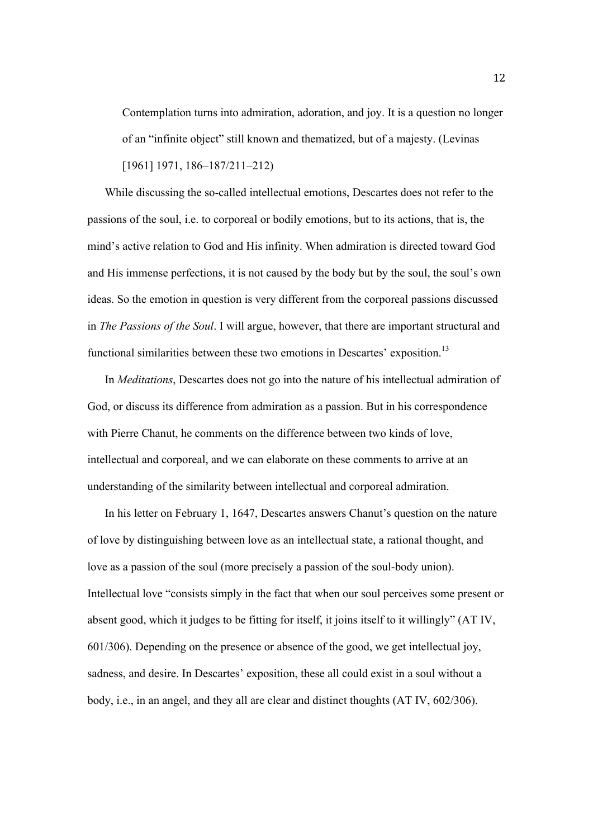Contemplation turns into admiration, adoration, and joy. It is a question no longer of an "infinite object" still known and thematized, but of a majesty. (Levinas [1961] 1971, 186–187/211–212)

While discussing the so-called intellectual emotions, Descartes does not refer to the passions of the soul, i.e. to corporeal or bodily emotions, but to its actions, that is, the mind's active relation to God and His infinity. When admiration is directed toward God and His immense perfections, it is not caused by the body but by the soul, the soul's own ideas. So the emotion in question is very different from the corporeal passions discussed in *The Passions of the Soul*. I will argue, however, that there are important structural and functional similarities between these two emotions in Descartes' exposition.<sup>13</sup>

In *Meditations*, Descartes does not go into the nature of his intellectual admiration of God, or discuss its difference from admiration as a passion. But in his correspondence with Pierre Chanut, he comments on the difference between two kinds of love, intellectual and corporeal, and we can elaborate on these comments to arrive at an understanding of the similarity between intellectual and corporeal admiration.

In his letter on February 1, 1647, Descartes answers Chanut's question on the nature of love by distinguishing between love as an intellectual state, a rational thought, and love as a passion of the soul (more precisely a passion of the soul-body union). Intellectual love "consists simply in the fact that when our soul perceives some present or absent good, which it judges to be fitting for itself, it joins itself to it willingly" (AT IV, 601/306). Depending on the presence or absence of the good, we get intellectual joy, sadness, and desire. In Descartes' exposition, these all could exist in a soul without a body, i.e., in an angel, and they all are clear and distinct thoughts (AT IV, 602/306).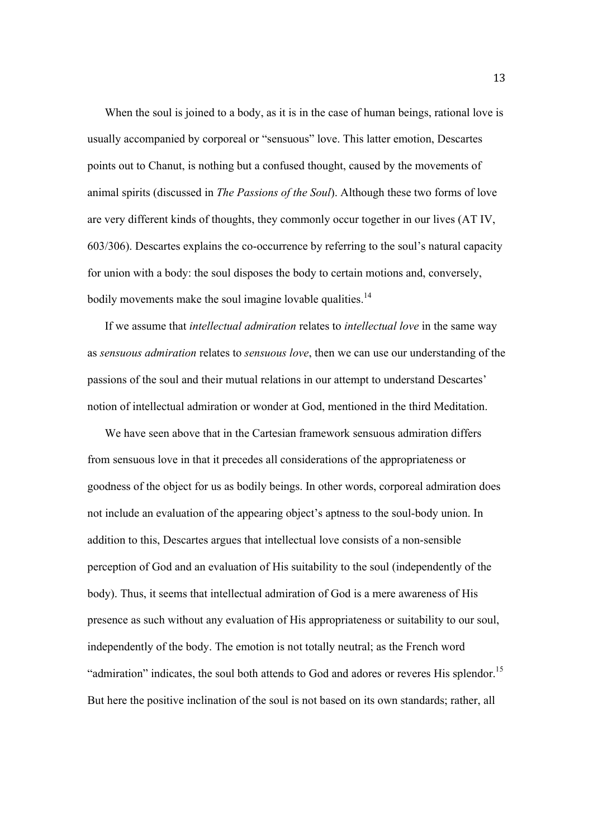When the soul is joined to a body, as it is in the case of human beings, rational love is usually accompanied by corporeal or "sensuous" love. This latter emotion, Descartes points out to Chanut, is nothing but a confused thought, caused by the movements of animal spirits (discussed in *The Passions of the Soul*). Although these two forms of love are very different kinds of thoughts, they commonly occur together in our lives (AT IV, 603/306). Descartes explains the co-occurrence by referring to the soul's natural capacity for union with a body: the soul disposes the body to certain motions and, conversely, bodily movements make the soul imagine lovable qualities.<sup>14</sup>

If we assume that *intellectual admiration* relates to *intellectual love* in the same way as *sensuous admiration* relates to *sensuous love*, then we can use our understanding of the passions of the soul and their mutual relations in our attempt to understand Descartes' notion of intellectual admiration or wonder at God, mentioned in the third Meditation.

We have seen above that in the Cartesian framework sensuous admiration differs from sensuous love in that it precedes all considerations of the appropriateness or goodness of the object for us as bodily beings. In other words, corporeal admiration does not include an evaluation of the appearing object's aptness to the soul-body union. In addition to this, Descartes argues that intellectual love consists of a non-sensible perception of God and an evaluation of His suitability to the soul (independently of the body). Thus, it seems that intellectual admiration of God is a mere awareness of His presence as such without any evaluation of His appropriateness or suitability to our soul, independently of the body. The emotion is not totally neutral; as the French word "admiration" indicates, the soul both attends to God and adores or reveres His splendor.<sup>15</sup> But here the positive inclination of the soul is not based on its own standards; rather, all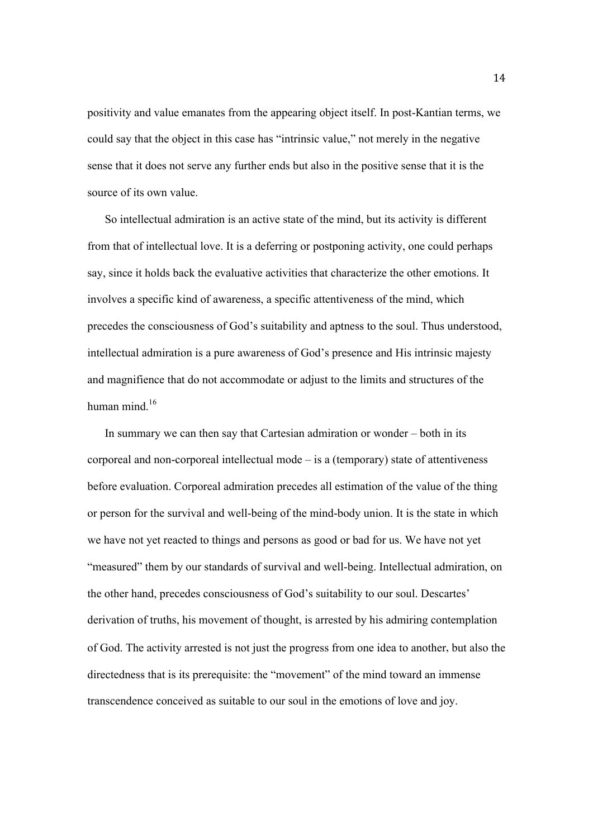positivity and value emanates from the appearing object itself. In post-Kantian terms, we could say that the object in this case has "intrinsic value," not merely in the negative sense that it does not serve any further ends but also in the positive sense that it is the source of its own value.

So intellectual admiration is an active state of the mind, but its activity is different from that of intellectual love. It is a deferring or postponing activity, one could perhaps say, since it holds back the evaluative activities that characterize the other emotions. It involves a specific kind of awareness, a specific attentiveness of the mind, which precedes the consciousness of God's suitability and aptness to the soul. Thus understood, intellectual admiration is a pure awareness of God's presence and His intrinsic majesty and magnifience that do not accommodate or adjust to the limits and structures of the human mind.<sup>16</sup>

In summary we can then say that Cartesian admiration or wonder – both in its corporeal and non-corporeal intellectual mode – is a (temporary) state of attentiveness before evaluation. Corporeal admiration precedes all estimation of the value of the thing or person for the survival and well-being of the mind-body union. It is the state in which we have not yet reacted to things and persons as good or bad for us. We have not yet "measured" them by our standards of survival and well-being. Intellectual admiration, on the other hand, precedes consciousness of God's suitability to our soul. Descartes' derivation of truths, his movement of thought, is arrested by his admiring contemplation of God. The activity arrested is not just the progress from one idea to another, but also the directedness that is its prerequisite: the "movement" of the mind toward an immense transcendence conceived as suitable to our soul in the emotions of love and joy.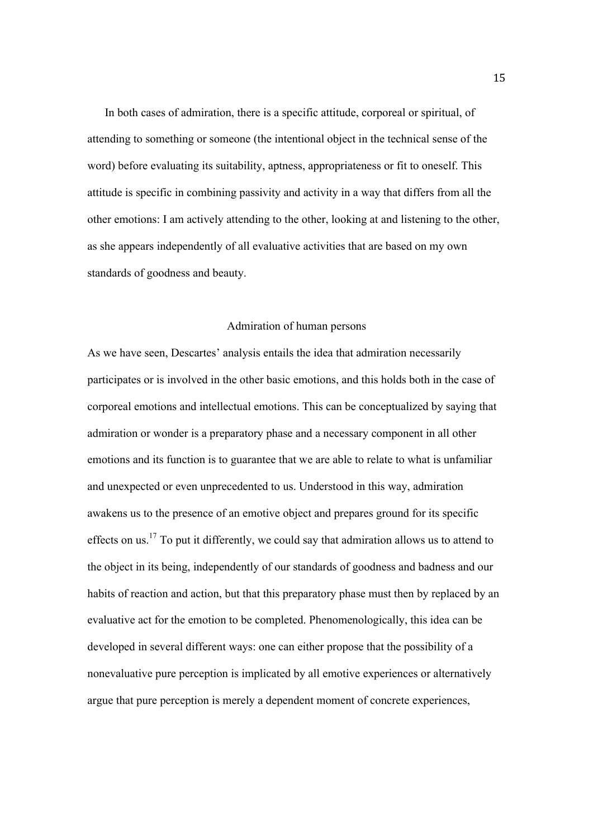In both cases of admiration, there is a specific attitude, corporeal or spiritual, of attending to something or someone (the intentional object in the technical sense of the word) before evaluating its suitability, aptness, appropriateness or fit to oneself. This attitude is specific in combining passivity and activity in a way that differs from all the other emotions: I am actively attending to the other, looking at and listening to the other, as she appears independently of all evaluative activities that are based on my own standards of goodness and beauty.

## Admiration of human persons

As we have seen, Descartes' analysis entails the idea that admiration necessarily participates or is involved in the other basic emotions, and this holds both in the case of corporeal emotions and intellectual emotions. This can be conceptualized by saying that admiration or wonder is a preparatory phase and a necessary component in all other emotions and its function is to guarantee that we are able to relate to what is unfamiliar and unexpected or even unprecedented to us. Understood in this way, admiration awakens us to the presence of an emotive object and prepares ground for its specific effects on us.<sup>17</sup> To put it differently, we could say that admiration allows us to attend to the object in its being, independently of our standards of goodness and badness and our habits of reaction and action, but that this preparatory phase must then by replaced by an evaluative act for the emotion to be completed. Phenomenologically, this idea can be developed in several different ways: one can either propose that the possibility of a nonevaluative pure perception is implicated by all emotive experiences or alternatively argue that pure perception is merely a dependent moment of concrete experiences,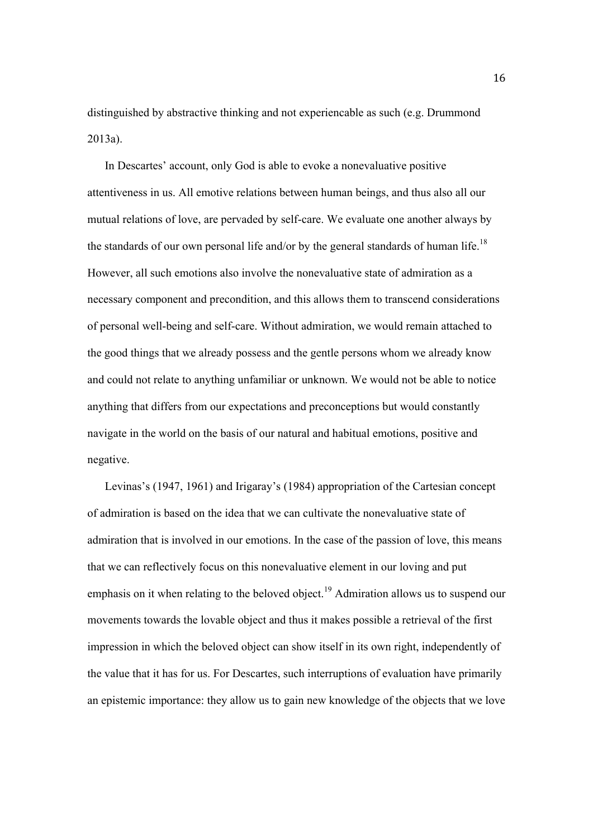distinguished by abstractive thinking and not experiencable as such (e.g. Drummond 2013a).

In Descartes' account, only God is able to evoke a nonevaluative positive attentiveness in us. All emotive relations between human beings, and thus also all our mutual relations of love, are pervaded by self-care. We evaluate one another always by the standards of our own personal life and/or by the general standards of human life.<sup>18</sup> However, all such emotions also involve the nonevaluative state of admiration as a necessary component and precondition, and this allows them to transcend considerations of personal well-being and self-care. Without admiration, we would remain attached to the good things that we already possess and the gentle persons whom we already know and could not relate to anything unfamiliar or unknown. We would not be able to notice anything that differs from our expectations and preconceptions but would constantly navigate in the world on the basis of our natural and habitual emotions, positive and negative.

Levinas's (1947, 1961) and Irigaray's (1984) appropriation of the Cartesian concept of admiration is based on the idea that we can cultivate the nonevaluative state of admiration that is involved in our emotions. In the case of the passion of love, this means that we can reflectively focus on this nonevaluative element in our loving and put emphasis on it when relating to the beloved object.<sup>19</sup> Admiration allows us to suspend our movements towards the lovable object and thus it makes possible a retrieval of the first impression in which the beloved object can show itself in its own right, independently of the value that it has for us. For Descartes, such interruptions of evaluation have primarily an epistemic importance: they allow us to gain new knowledge of the objects that we love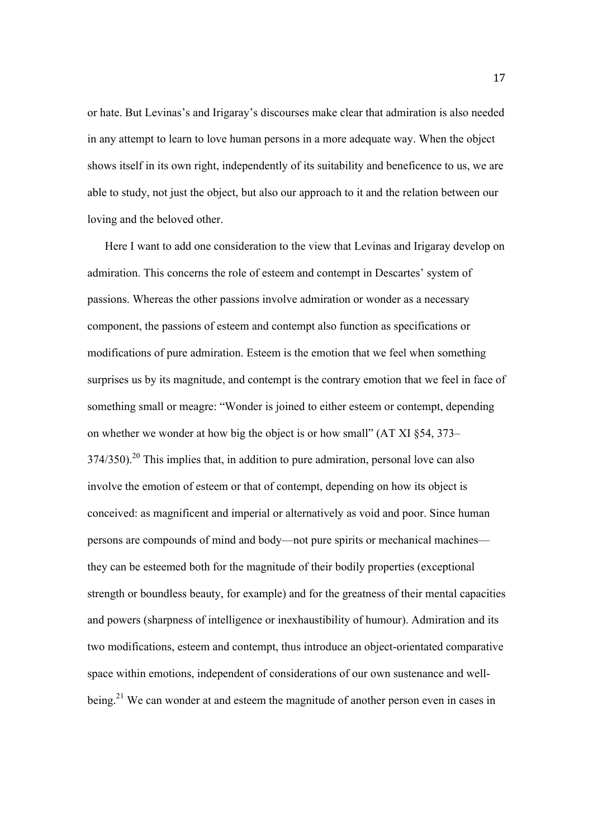or hate. But Levinas's and Irigaray's discourses make clear that admiration is also needed in any attempt to learn to love human persons in a more adequate way. When the object shows itself in its own right, independently of its suitability and beneficence to us, we are able to study, not just the object, but also our approach to it and the relation between our loving and the beloved other.

Here I want to add one consideration to the view that Levinas and Irigaray develop on admiration. This concerns the role of esteem and contempt in Descartes' system of passions. Whereas the other passions involve admiration or wonder as a necessary component, the passions of esteem and contempt also function as specifications or modifications of pure admiration. Esteem is the emotion that we feel when something surprises us by its magnitude, and contempt is the contrary emotion that we feel in face of something small or meagre: "Wonder is joined to either esteem or contempt, depending on whether we wonder at how big the object is or how small" (AT XI §54, 373–  $374/350$ .<sup>20</sup> This implies that, in addition to pure admiration, personal love can also involve the emotion of esteem or that of contempt, depending on how its object is conceived: as magnificent and imperial or alternatively as void and poor. Since human persons are compounds of mind and body—not pure spirits or mechanical machines they can be esteemed both for the magnitude of their bodily properties (exceptional strength or boundless beauty, for example) and for the greatness of their mental capacities and powers (sharpness of intelligence or inexhaustibility of humour). Admiration and its two modifications, esteem and contempt, thus introduce an object-orientated comparative space within emotions, independent of considerations of our own sustenance and wellbeing.<sup>21</sup> We can wonder at and esteem the magnitude of another person even in cases in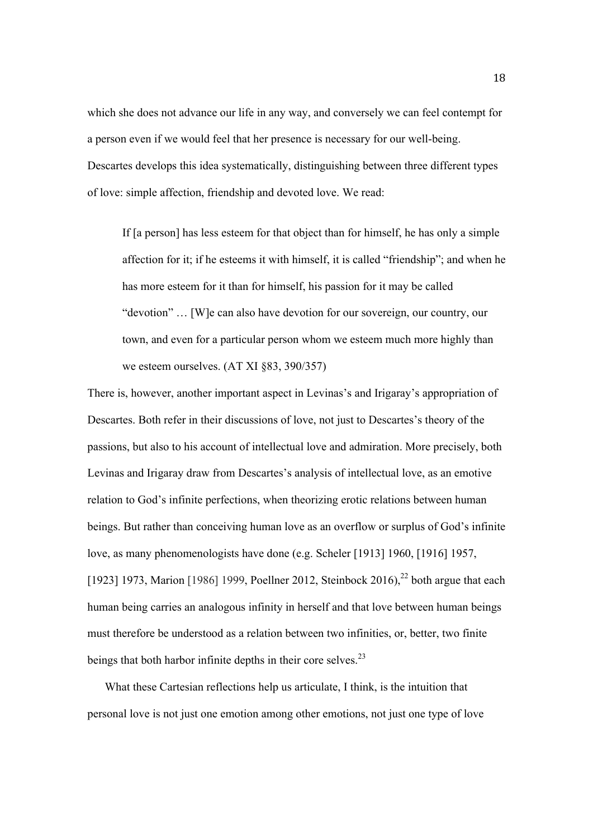which she does not advance our life in any way, and conversely we can feel contempt for a person even if we would feel that her presence is necessary for our well-being. Descartes develops this idea systematically, distinguishing between three different types of love: simple affection, friendship and devoted love. We read:

If [a person] has less esteem for that object than for himself, he has only a simple affection for it; if he esteems it with himself, it is called "friendship"; and when he has more esteem for it than for himself, his passion for it may be called "devotion" … [W]e can also have devotion for our sovereign, our country, our town, and even for a particular person whom we esteem much more highly than we esteem ourselves. (AT XI §83, 390/357)

There is, however, another important aspect in Levinas's and Irigaray's appropriation of Descartes. Both refer in their discussions of love, not just to Descartes's theory of the passions, but also to his account of intellectual love and admiration. More precisely, both Levinas and Irigaray draw from Descartes's analysis of intellectual love, as an emotive relation to God's infinite perfections, when theorizing erotic relations between human beings. But rather than conceiving human love as an overflow or surplus of God's infinite love, as many phenomenologists have done (e.g. Scheler [1913] 1960, [1916] 1957, [1923] 1973, Marion [1986] 1999, Poellner 2012, Steinbock 2016),<sup>22</sup> both argue that each human being carries an analogous infinity in herself and that love between human beings must therefore be understood as a relation between two infinities, or, better, two finite beings that both harbor infinite depths in their core selves.<sup>23</sup>

What these Cartesian reflections help us articulate, I think, is the intuition that personal love is not just one emotion among other emotions, not just one type of love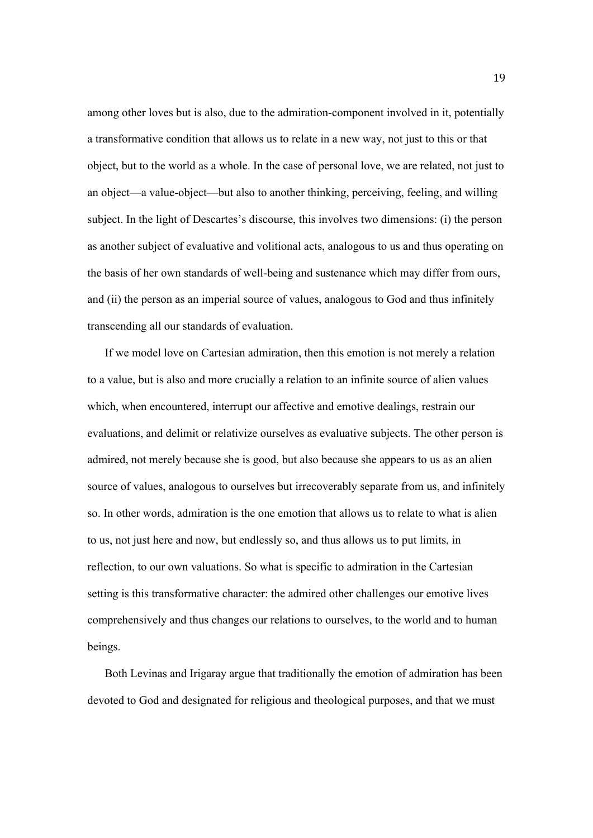among other loves but is also, due to the admiration-component involved in it, potentially a transformative condition that allows us to relate in a new way, not just to this or that object, but to the world as a whole. In the case of personal love, we are related, not just to an object—a value-object—but also to another thinking, perceiving, feeling, and willing subject. In the light of Descartes's discourse, this involves two dimensions: (i) the person as another subject of evaluative and volitional acts, analogous to us and thus operating on the basis of her own standards of well-being and sustenance which may differ from ours, and (ii) the person as an imperial source of values, analogous to God and thus infinitely transcending all our standards of evaluation.

If we model love on Cartesian admiration, then this emotion is not merely a relation to a value, but is also and more crucially a relation to an infinite source of alien values which, when encountered, interrupt our affective and emotive dealings, restrain our evaluations, and delimit or relativize ourselves as evaluative subjects. The other person is admired, not merely because she is good, but also because she appears to us as an alien source of values, analogous to ourselves but irrecoverably separate from us, and infinitely so. In other words, admiration is the one emotion that allows us to relate to what is alien to us, not just here and now, but endlessly so, and thus allows us to put limits, in reflection, to our own valuations. So what is specific to admiration in the Cartesian setting is this transformative character: the admired other challenges our emotive lives comprehensively and thus changes our relations to ourselves, to the world and to human beings.

Both Levinas and Irigaray argue that traditionally the emotion of admiration has been devoted to God and designated for religious and theological purposes, and that we must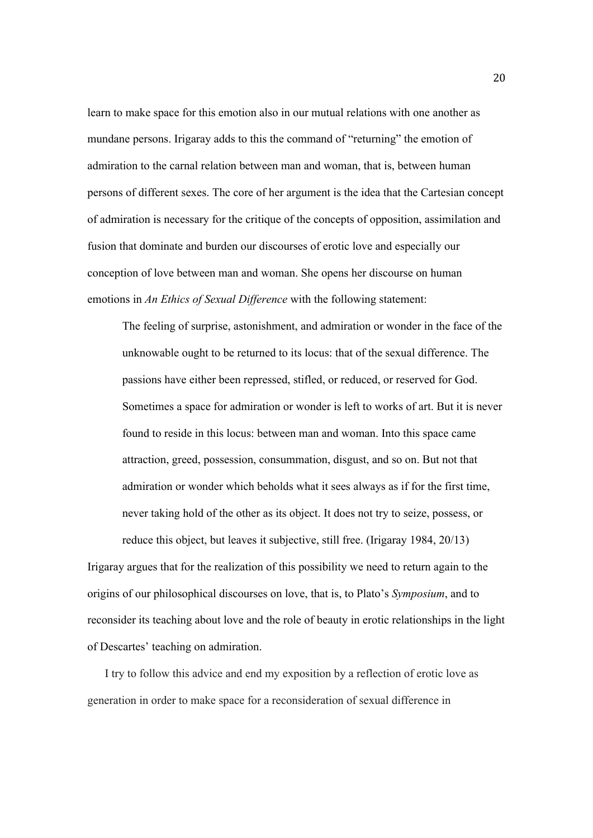learn to make space for this emotion also in our mutual relations with one another as mundane persons. Irigaray adds to this the command of "returning" the emotion of admiration to the carnal relation between man and woman, that is, between human persons of different sexes. The core of her argument is the idea that the Cartesian concept of admiration is necessary for the critique of the concepts of opposition, assimilation and fusion that dominate and burden our discourses of erotic love and especially our conception of love between man and woman. She opens her discourse on human emotions in *An Ethics of Sexual Difference* with the following statement:

The feeling of surprise, astonishment, and admiration or wonder in the face of the unknowable ought to be returned to its locus: that of the sexual difference. The passions have either been repressed, stifled, or reduced, or reserved for God. Sometimes a space for admiration or wonder is left to works of art. But it is never found to reside in this locus: between man and woman. Into this space came attraction, greed, possession, consummation, disgust, and so on. But not that admiration or wonder which beholds what it sees always as if for the first time, never taking hold of the other as its object. It does not try to seize, possess, or reduce this object, but leaves it subjective, still free. (Irigaray 1984, 20/13)

Irigaray argues that for the realization of this possibility we need to return again to the origins of our philosophical discourses on love, that is, to Plato's *Symposium*, and to reconsider its teaching about love and the role of beauty in erotic relationships in the light of Descartes' teaching on admiration.

I try to follow this advice and end my exposition by a reflection of erotic love as generation in order to make space for a reconsideration of sexual difference in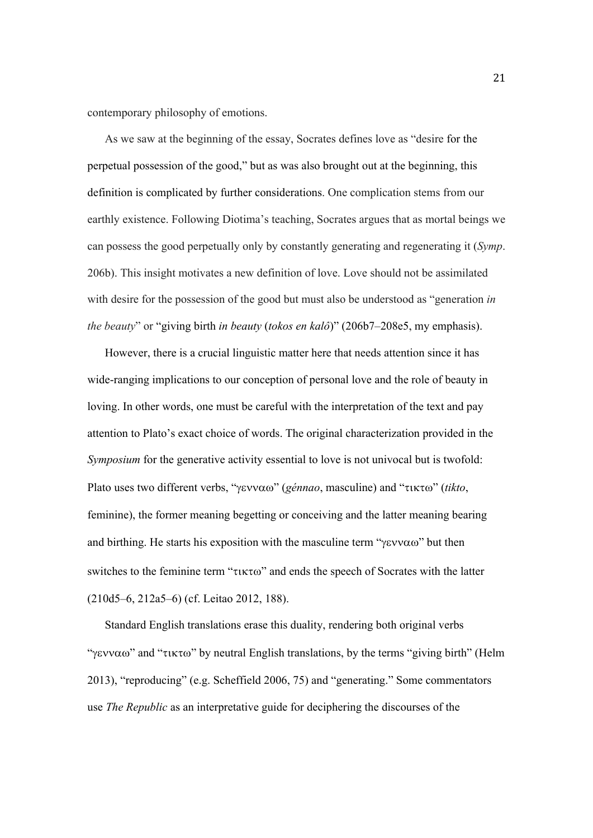contemporary philosophy of emotions.

As we saw at the beginning of the essay, Socrates defines love as "desire for the perpetual possession of the good," but as was also brought out at the beginning, this definition is complicated by further considerations. One complication stems from our earthly existence. Following Diotima's teaching, Socrates argues that as mortal beings we can possess the good perpetually only by constantly generating and regenerating it (*Symp*. 206b). This insight motivates a new definition of love. Love should not be assimilated with desire for the possession of the good but must also be understood as "generation *in the beauty*" or "giving birth *in beauty* (*tokos en kalô*)" (206b7–208e5, my emphasis).

However, there is a crucial linguistic matter here that needs attention since it has wide-ranging implications to our conception of personal love and the role of beauty in loving. In other words, one must be careful with the interpretation of the text and pay attention to Plato's exact choice of words. The original characterization provided in the *Symposium* for the generative activity essential to love is not univocal but is twofold: Plato uses two different verbs, "γενναω" (*génnao*, masculine) and "τικτω" (*tikto*, feminine), the former meaning begetting or conceiving and the latter meaning bearing and birthing. He starts his exposition with the masculine term " $\gamma$ ενναω" but then switches to the feminine term " $\tau$ <sup>"</sup> $\tau$ <sup>"</sup> $\tau$ <sup>"</sup> and ends the speech of Socrates with the latter (210d5–6, 212a5–6) (cf. Leitao 2012, 188).

Standard English translations erase this duality, rendering both original verbs " $\gamma$ ενναω" and "τικτω" by neutral English translations, by the terms "giving birth" (Helm 2013), "reproducing" (e.g. Scheffield 2006, 75) and "generating." Some commentators use *The Republic* as an interpretative guide for deciphering the discourses of the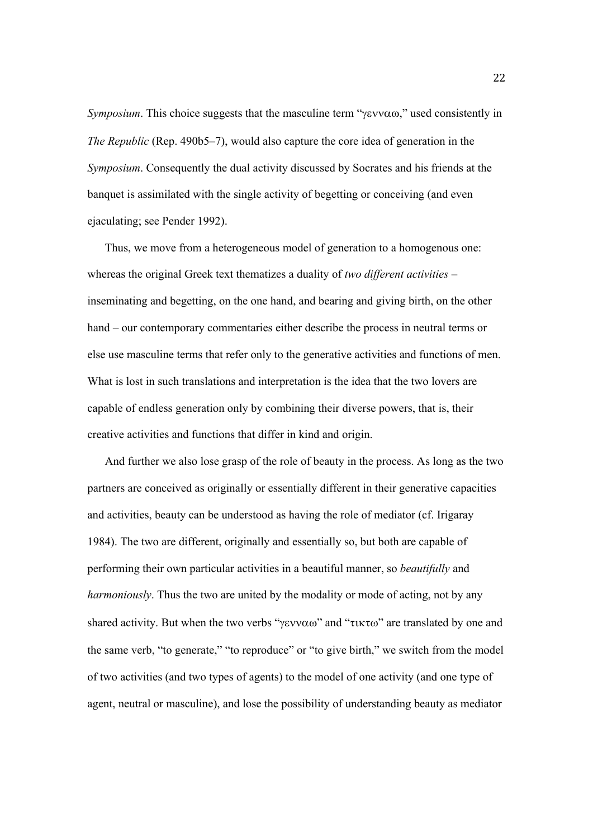*Symposium*. This choice suggests that the masculine term " $\gamma \epsilon \nu \nu \alpha \omega$ ," used consistently in *The Republic* (Rep. 490b5–7), would also capture the core idea of generation in the *Symposium*. Consequently the dual activity discussed by Socrates and his friends at the banquet is assimilated with the single activity of begetting or conceiving (and even ejaculating; see Pender 1992).

Thus, we move from a heterogeneous model of generation to a homogenous one: whereas the original Greek text thematizes a duality of *two different activities* – inseminating and begetting, on the one hand, and bearing and giving birth, on the other hand – our contemporary commentaries either describe the process in neutral terms or else use masculine terms that refer only to the generative activities and functions of men. What is lost in such translations and interpretation is the idea that the two lovers are capable of endless generation only by combining their diverse powers, that is, their creative activities and functions that differ in kind and origin.

And further we also lose grasp of the role of beauty in the process. As long as the two partners are conceived as originally or essentially different in their generative capacities and activities, beauty can be understood as having the role of mediator (cf. Irigaray 1984). The two are different, originally and essentially so, but both are capable of performing their own particular activities in a beautiful manner, so *beautifully* and *harmoniously*. Thus the two are united by the modality or mode of acting, not by any shared activity. But when the two verbs " $\gamma$ ενναω" and "τικτω" are translated by one and the same verb, "to generate," "to reproduce" or "to give birth," we switch from the model of two activities (and two types of agents) to the model of one activity (and one type of agent, neutral or masculine), and lose the possibility of understanding beauty as mediator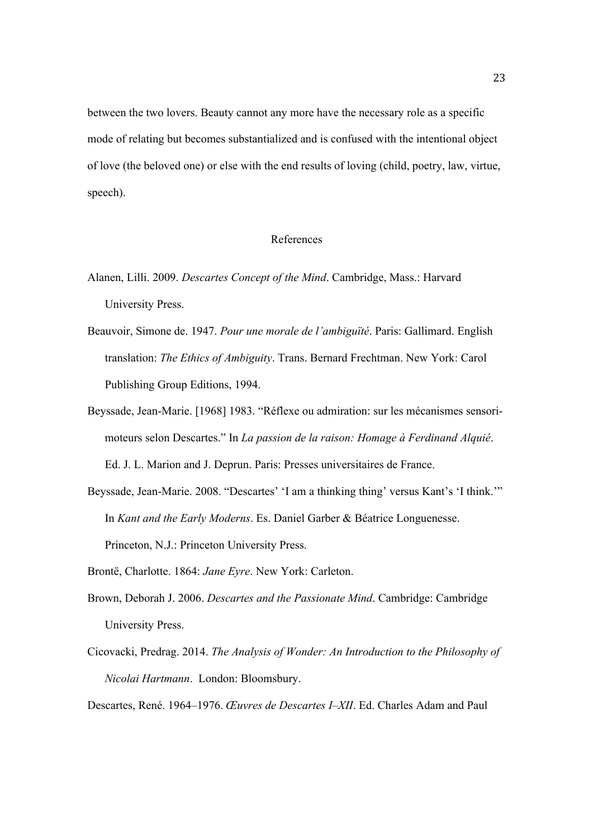between the two lovers. Beauty cannot any more have the necessary role as a specific mode of relating but becomes substantialized and is confused with the intentional object of love (the beloved one) or else with the end results of loving (child, poetry, law, virtue, speech).

## References

- Alanen, Lilli. 2009. *Descartes Concept of the Mind*. Cambridge, Mass.: Harvard University Press.
- Beauvoir, Simone de. 1947. *Pour une morale de l'ambiguïté*. Paris: Gallimard. English translation: *The Ethics of Ambiguity*. Trans. Bernard Frechtman. New York: Carol Publishing Group Editions, 1994.
- Beyssade, Jean-Marie. [1968] 1983. "Réflexe ou admiration: sur les mécanismes sensorimoteurs selon Descartes." In *La passion de la raison: Homage à Ferdinand Alquié*. Ed. J. L. Marion and J. Deprun. Paris: Presses universitaires de France.
- Beyssade, Jean-Marie. 2008. "Descartes' 'I am a thinking thing' versus Kant's 'I think.'" In *Kant and the Early Moderns*. Es. Daniel Garber & Béatrice Longuenesse. Princeton, N.J.: Princeton University Press.
- Brontë, Charlotte. 1864: *Jane Eyre*. New York: Carleton.
- Brown, Deborah J. 2006. *Descartes and the Passionate Mind*. Cambridge: Cambridge University Press.
- Cicovacki, Predrag. 2014. *The Analysis of Wonder: An Introduction to the Philosophy of Nicolai Hartmann*. London: Bloomsbury.

Descartes, René. 1964–1976. *Œuvres de Descartes I–XII*. Ed. Charles Adam and Paul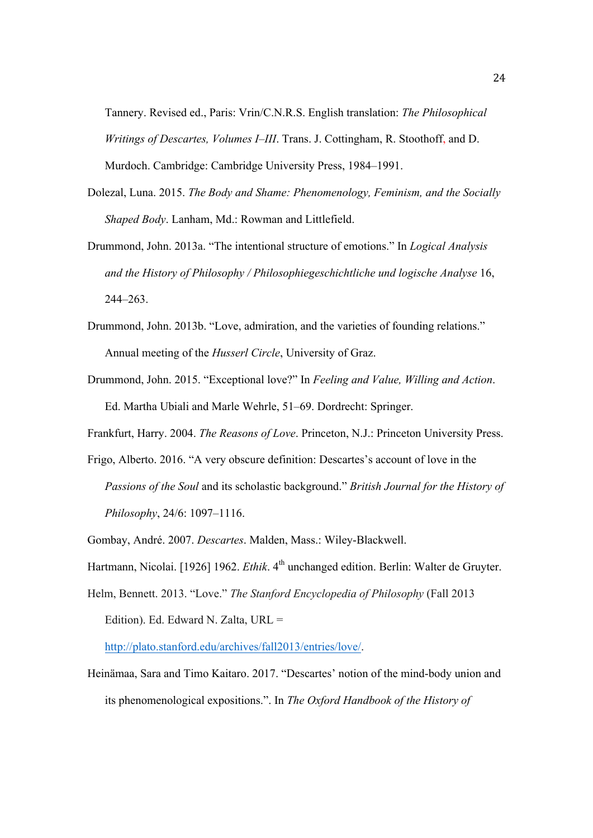Tannery. Revised ed., Paris: Vrin/C.N.R.S. English translation: *The Philosophical Writings of Descartes, Volumes I–III*. Trans. J. Cottingham, R. Stoothoff, and D. Murdoch. Cambridge: Cambridge University Press, 1984–1991.

- Dolezal, Luna. 2015. *The Body and Shame: Phenomenology, Feminism, and the Socially Shaped Body*. Lanham, Md.: Rowman and Littlefield.
- Drummond, John. 2013a. "The intentional structure of emotions." In *Logical Analysis and the History of Philosophy / Philosophiegeschichtliche und logische Analyse* 16, 244–263.
- Drummond, John. 2013b. "Love, admiration, and the varieties of founding relations." Annual meeting of the *Husserl Circle*, University of Graz.
- Drummond, John. 2015. "Exceptional love?" In *Feeling and Value, Willing and Action*. Ed. Martha Ubiali and Marle Wehrle, 51–69. Dordrecht: Springer.

Frankfurt, Harry. 2004. *The Reasons of Love*. Princeton, N.J.: Princeton University Press.

- Frigo, Alberto. 2016. "A very obscure definition: Descartes's account of love in the *Passions of the Soul* and its scholastic background." *British Journal for the History of Philosophy*, 24/6: 1097–1116.
- Gombay, André. 2007. *Descartes*. Malden, Mass.: Wiley-Blackwell.
- Hartmann, Nicolai. [1926] 1962. *Ethik*. 4<sup>th</sup> unchanged edition. Berlin: Walter de Gruyter.
- Helm, Bennett. 2013. "Love." *The Stanford Encyclopedia of Philosophy* (Fall 2013 Edition). Ed. Edward N. Zalta, URL =

http://plato.stanford.edu/archives/fall2013/entries/love/.

Heinämaa, Sara and Timo Kaitaro. 2017. "Descartes' notion of the mind-body union and its phenomenological expositions.". In *The Oxford Handbook of the History of*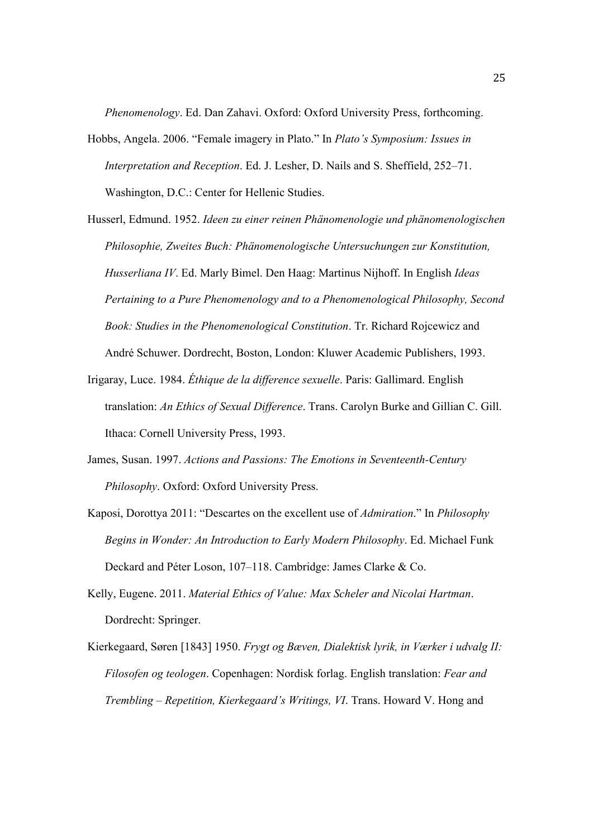*Phenomenology*. Ed. Dan Zahavi. Oxford: Oxford University Press, forthcoming.

- Hobbs, Angela. 2006. "Female imagery in Plato." In *Plato's Symposium: Issues in Interpretation and Reception*. Ed. J. Lesher, D. Nails and S. Sheffield, 252–71. Washington, D.C.: Center for Hellenic Studies.
- Husserl, Edmund. 1952. *Ideen zu einer reinen Phänomenologie und phänomenologischen Philosophie, Zweites Buch: Phänomenologische Untersuchungen zur Konstitution, Husserliana IV*. Ed. Marly Bimel. Den Haag: Martinus Nijhoff. In English *Ideas Pertaining to a Pure Phenomenology and to a Phenomenological Philosophy, Second Book: Studies in the Phenomenological Constitution*. Tr. Richard Rojcewicz and André Schuwer. Dordrecht, Boston, London: Kluwer Academic Publishers, 1993.
- Irigaray, Luce. 1984. *Éthique de la difference sexuelle*. Paris: Gallimard. English translation: *An Ethics of Sexual Difference*. Trans. Carolyn Burke and Gillian C. Gill. Ithaca: Cornell University Press, 1993.
- James, Susan. 1997. *Actions and Passions: The Emotions in Seventeenth-Century Philosophy*. Oxford: Oxford University Press.
- Kaposi, Dorottya 2011: "Descartes on the excellent use of *Admiration*." In *Philosophy Begins in Wonder: An Introduction to Early Modern Philosophy*. Ed. Michael Funk Deckard and Péter Loson, 107–118. Cambridge: James Clarke & Co.
- Kelly, Eugene. 2011. *Material Ethics of Value: Max Scheler and Nicolai Hartman*. Dordrecht: Springer.
- Kierkegaard, Søren [1843] 1950. *Frygt og Bæven, Dialektisk lyrik, in Værker i udvalg II: Filosofen og teologen*. Copenhagen: Nordisk forlag. English translation: *Fear and Trembling – Repetition, Kierkegaard's Writings, VI*. Trans. Howard V. Hong and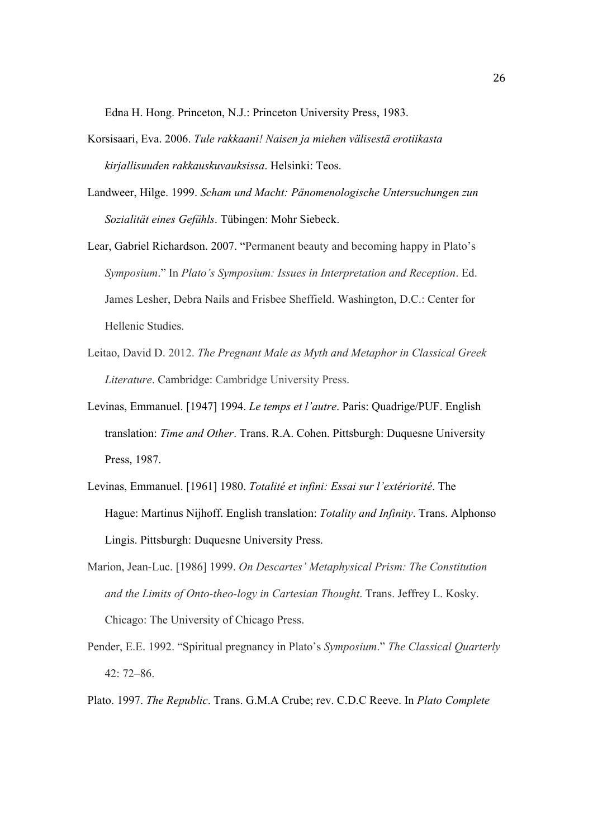Edna H. Hong. Princeton, N.J.: Princeton University Press, 1983.

- Korsisaari, Eva. 2006. *Tule rakkaani! Naisen ja miehen välisestä erotiikasta kirjallisuuden rakkauskuvauksissa*. Helsinki: Teos.
- Landweer, Hilge. 1999. *Scham und Macht: Pänomenologische Untersuchungen zun Sozialität eines Gefühls*. Tübingen: Mohr Siebeck.
- Lear, Gabriel Richardson. 2007. "Permanent beauty and becoming happy in Plato's *Symposium*." In *Plato's Symposium: Issues in Interpretation and Reception*. Ed. James Lesher, Debra Nails and Frisbee Sheffield. Washington, D.C.: Center for Hellenic Studies.
- Leitao, David D. 2012. *The Pregnant Male as Myth and Metaphor in Classical Greek Literature*. Cambridge: Cambridge University Press.
- Levinas, Emmanuel. [1947] 1994. *Le temps et l'autre*. Paris: Quadrige/PUF. English translation: *Time and Other*. Trans. R.A. Cohen. Pittsburgh: Duquesne University Press, 1987.
- Levinas, Emmanuel. [1961] 1980. *Totalité et infini: Essai sur l'extériorité*. The Hague: Martinus Nijhoff. English translation: *Totality and Infinity*. Trans. Alphonso Lingis. Pittsburgh: Duquesne University Press.
- Marion, Jean-Luc. [1986] 1999. *On Descartes' Metaphysical Prism: The Constitution and the Limits of Onto-theo-logy in Cartesian Thought*. Trans. Jeffrey L. Kosky. Chicago: The University of Chicago Press.
- Pender, E.E. 1992. "Spiritual pregnancy in Plato's *Symposium*." *The Classical Quarterly*  $42 \cdot 72 - 86$
- Plato. 1997. *The Republic*. Trans. G.M.A Crube; rev. C.D.C Reeve. In *Plato Complete*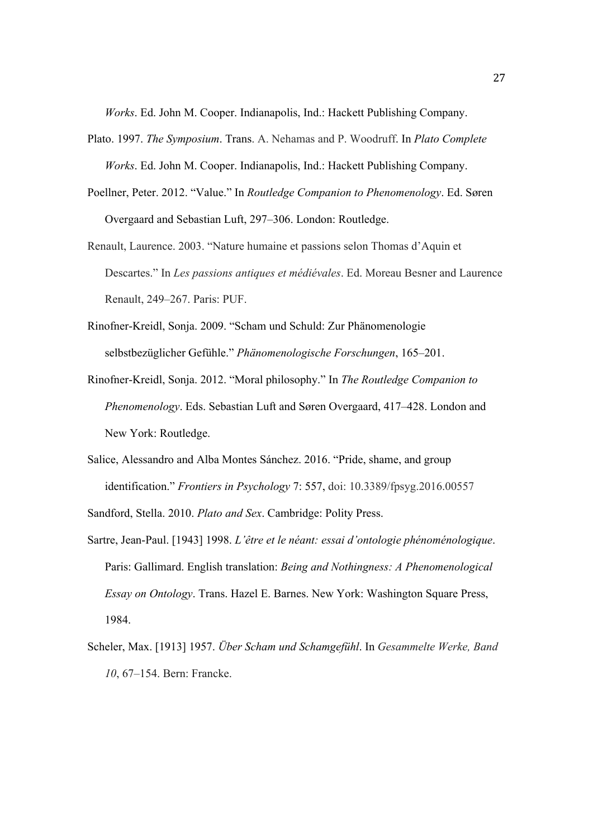*Works*. Ed. John M. Cooper. Indianapolis, Ind.: Hackett Publishing Company.

- Plato. 1997. *The Symposium*. Trans. A. Nehamas and P. Woodruff. In *Plato Complete Works*. Ed. John M. Cooper. Indianapolis, Ind.: Hackett Publishing Company.
- Poellner, Peter. 2012. "Value." In *Routledge Companion to Phenomenology*. Ed. Søren Overgaard and Sebastian Luft, 297–306. London: Routledge.
- Renault, Laurence. 2003. "Nature humaine et passions selon Thomas d'Aquin et Descartes." In *Les passions antiques et médiévales*. Ed. Moreau Besner and Laurence Renault, 249–267. Paris: PUF.
- Rinofner-Kreidl, Sonja. 2009. "Scham und Schuld: Zur Phänomenologie selbstbezüglicher Gefühle." *Phänomenologische Forschungen*, 165–201.
- Rinofner-Kreidl, Sonja. 2012. "Moral philosophy." In *The Routledge Companion to Phenomenology*. Eds. Sebastian Luft and Søren Overgaard, 417–428. London and New York: Routledge.
- Salice, Alessandro and Alba Montes Sánchez. 2016. "Pride, shame, and group identification." *Frontiers in Psychology* 7: 557, doi: 10.3389/fpsyg.2016.00557
- Sandford, Stella. 2010. *Plato and Sex*. Cambridge: Polity Press.
- Sartre, Jean-Paul. [1943] 1998. *L'être et le néant: essai d'ontologie phénoménologique*. Paris: Gallimard. English translation: *Being and Nothingness: A Phenomenological Essay on Ontology*. Trans. Hazel E. Barnes. New York: Washington Square Press, 1984.
- Scheler, Max. [1913] 1957. *Über Scham und Schamgefühl*. In *Gesammelte Werke, Band 10*, 67–154. Bern: Francke.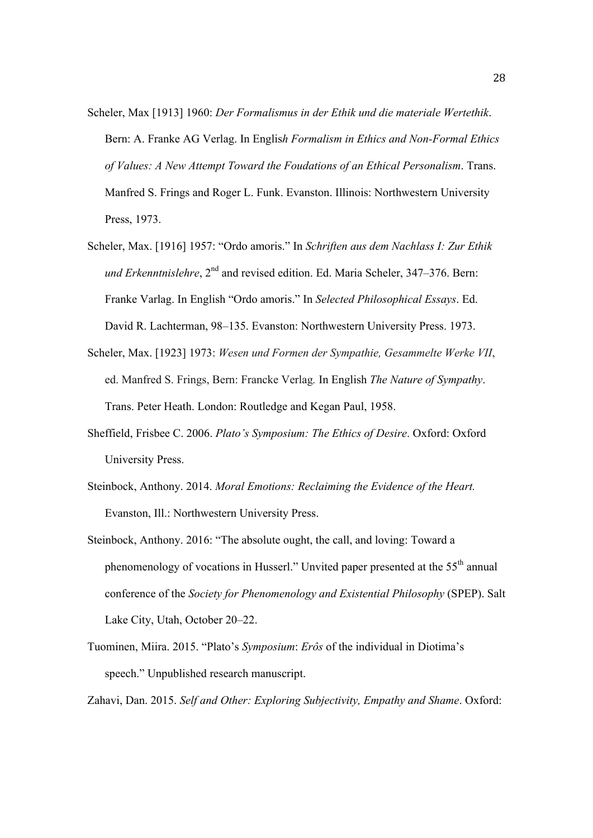- Scheler, Max [1913] 1960: *Der Formalismus in der Ethik und die materiale Wertethik*. Bern: A. Franke AG Verlag. In Englis*h Formalism in Ethics and Non-Formal Ethics of Values: A New Attempt Toward the Foudations of an Ethical Personalism*. Trans. Manfred S. Frings and Roger L. Funk. Evanston. Illinois: Northwestern University Press, 1973.
- Scheler, Max. [1916] 1957: "Ordo amoris." In *Schriften aus dem Nachlass I: Zur Ethik und Erkenntnislehre*, 2<sup>nd</sup> and revised edition. Ed. Maria Scheler, 347–376. Bern: Franke Varlag. In English "Ordo amoris." In *Selected Philosophical Essays*. Ed. David R. Lachterman, 98–135. Evanston: Northwestern University Press. 1973.
- Scheler, Max. [1923] 1973: *Wesen und Formen der Sympathie, Gesammelte Werke VII*, ed. Manfred S. Frings, Bern: Francke Verlag*.* In English *The Nature of Sympathy*. Trans. Peter Heath. London: Routledge and Kegan Paul, 1958.
- Sheffield, Frisbee C. 2006. *Plato's Symposium: The Ethics of Desire*. Oxford: Oxford University Press.
- Steinbock, Anthony. 2014. *Moral Emotions: Reclaiming the Evidence of the Heart.* Evanston, Ill.: Northwestern University Press.
- Steinbock, Anthony. 2016: "The absolute ought, the call, and loving: Toward a phenomenology of vocations in Husserl." Unvited paper presented at the 55<sup>th</sup> annual conference of the *Society for Phenomenology and Existential Philosophy* (SPEP). Salt Lake City, Utah, October 20–22.
- Tuominen, Miira. 2015. "Plato's *Symposium*: *Erôs* of the individual in Diotima's speech." Unpublished research manuscript.

Zahavi, Dan. 2015. *Self and Other: Exploring Subjectivity, Empathy and Shame*. Oxford: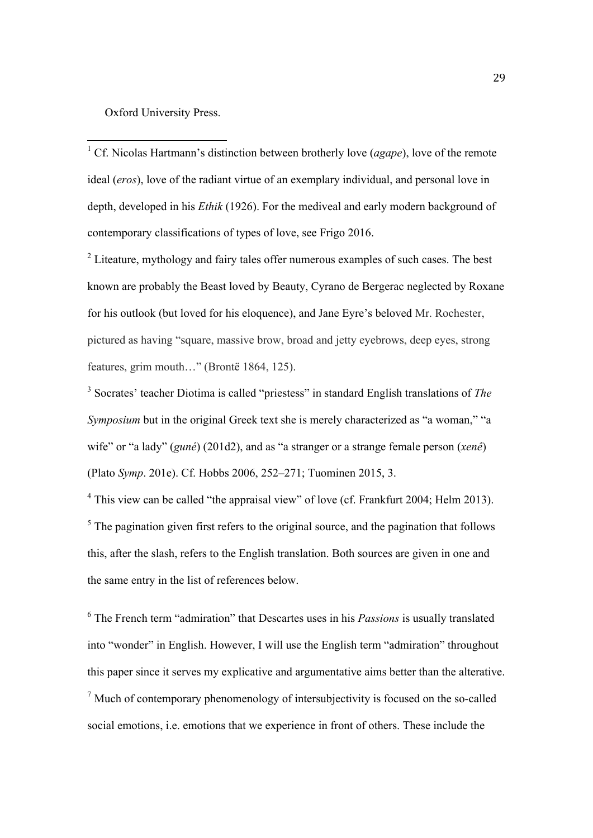Oxford University Press.

 <sup>1</sup> Cf. Nicolas Hartmann's distinction between brotherly love (*agape*), love of the remote ideal (*eros*), love of the radiant virtue of an exemplary individual, and personal love in depth, developed in his *Ethik* (1926). For the mediveal and early modern background of contemporary classifications of types of love, see Frigo 2016.

 $2^2$  Liteature, mythology and fairy tales offer numerous examples of such cases. The best known are probably the Beast loved by Beauty, Cyrano de Bergerac neglected by Roxane for his outlook (but loved for his eloquence), and Jane Eyre's beloved Mr. Rochester, pictured as having "square, massive brow, broad and jetty eyebrows, deep eyes, strong features, grim mouth…" (Brontë 1864, 125).

<sup>3</sup> Socrates' teacher Diotima is called "priestess" in standard English translations of *The Symposium* but in the original Greek text she is merely characterized as "a woman," "a wife" or "a lady" (*guné*) (201d2), and as "a stranger or a strange female person (*xenê*) (Plato *Symp*. 201e). Cf. Hobbs 2006, 252–271; Tuominen 2015, 3.

<sup>4</sup> This view can be called "the appraisal view" of love (cf. Frankfurt 2004; Helm 2013).  $<sup>5</sup>$  The pagination given first refers to the original source, and the pagination that follows</sup> this, after the slash, refers to the English translation. Both sources are given in one and the same entry in the list of references below.

<sup>6</sup> The French term "admiration" that Descartes uses in his *Passions* is usually translated into "wonder" in English. However, I will use the English term "admiration" throughout this paper since it serves my explicative and argumentative aims better than the alterative.

 $<sup>7</sup>$  Much of contemporary phenomenology of intersubjectivity is focused on the so-called</sup> social emotions, i.e. emotions that we experience in front of others. These include the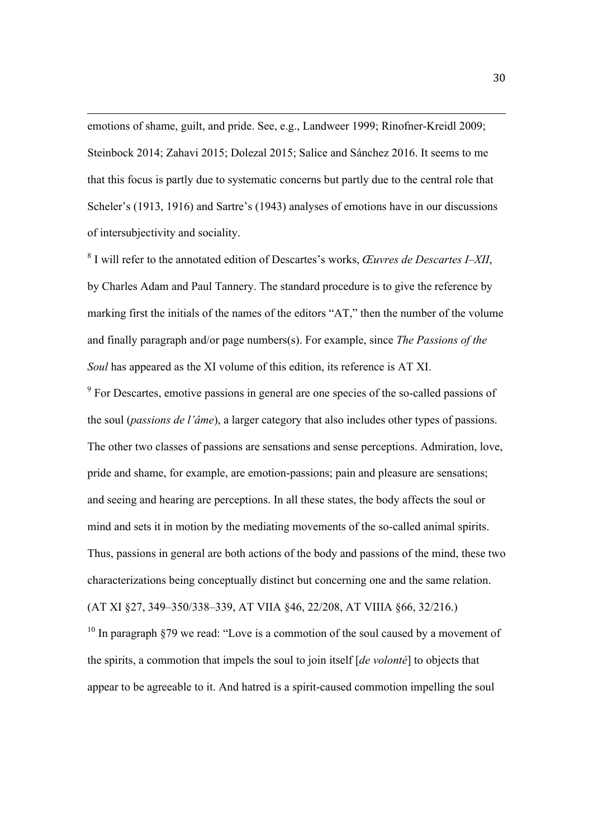emotions of shame, guilt, and pride. See, e.g., Landweer 1999; Rinofner-Kreidl 2009; Steinbock 2014; Zahavi 2015; Dolezal 2015; Salice and Sánchez 2016. It seems to me that this focus is partly due to systematic concerns but partly due to the central role that Scheler's (1913, 1916) and Sartre's (1943) analyses of emotions have in our discussions of intersubjectivity and sociality.

<u> 1989 - Andrea Santa Andrea Andrea Andrea Andrea Andrea Andrea Andrea Andrea Andrea Andrea Andrea Andrea Andr</u>

<sup>8</sup> I will refer to the annotated edition of Descartes's works, *Œuvres de Descartes I–XII*, by Charles Adam and Paul Tannery. The standard procedure is to give the reference by marking first the initials of the names of the editors "AT," then the number of the volume and finally paragraph and/or page numbers(s). For example, since *The Passions of the Soul* has appeared as the XI volume of this edition, its reference is AT XI.

<sup>9</sup> For Descartes, emotive passions in general are one species of the so-called passions of the soul (*passions de l'âme*), a larger category that also includes other types of passions. The other two classes of passions are sensations and sense perceptions. Admiration, love, pride and shame, for example, are emotion-passions; pain and pleasure are sensations; and seeing and hearing are perceptions. In all these states, the body affects the soul or mind and sets it in motion by the mediating movements of the so-called animal spirits. Thus, passions in general are both actions of the body and passions of the mind, these two characterizations being conceptually distinct but concerning one and the same relation. (AT XI §27, 349–350/338–339, AT VIIA §46, 22/208, AT VIIIA §66, 32/216.)

 $10$  In paragraph §79 we read: "Love is a commotion of the soul caused by a movement of the spirits, a commotion that impels the soul to join itself [*de volonté*] to objects that appear to be agreeable to it. And hatred is a spirit-caused commotion impelling the soul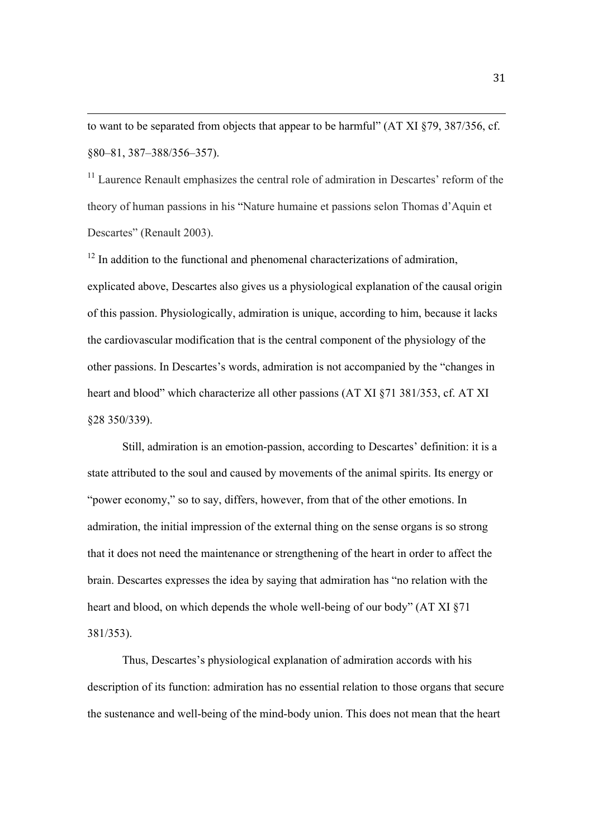to want to be separated from objects that appear to be harmful" (AT XI §79, 387/356, cf. §80–81, 387–388/356–357).

<u> 1989 - Andrea Santa Andrea Andrea Andrea Andrea Andrea Andrea Andrea Andrea Andrea Andrea Andrea Andrea Andr</u>

<sup>11</sup> Laurence Renault emphasizes the central role of admiration in Descartes' reform of the theory of human passions in his "Nature humaine et passions selon Thomas d'Aquin et Descartes" (Renault 2003).

 $12$  In addition to the functional and phenomenal characterizations of admiration, explicated above, Descartes also gives us a physiological explanation of the causal origin of this passion. Physiologically, admiration is unique, according to him, because it lacks the cardiovascular modification that is the central component of the physiology of the other passions. In Descartes's words, admiration is not accompanied by the "changes in heart and blood" which characterize all other passions (AT XI §71 381/353, cf. AT XI §28 350/339).

Still, admiration is an emotion-passion, according to Descartes' definition: it is a state attributed to the soul and caused by movements of the animal spirits. Its energy or "power economy," so to say, differs, however, from that of the other emotions. In admiration, the initial impression of the external thing on the sense organs is so strong that it does not need the maintenance or strengthening of the heart in order to affect the brain. Descartes expresses the idea by saying that admiration has "no relation with the heart and blood, on which depends the whole well-being of our body" (AT XI §71 381/353).

Thus, Descartes's physiological explanation of admiration accords with his description of its function: admiration has no essential relation to those organs that secure the sustenance and well-being of the mind-body union. This does not mean that the heart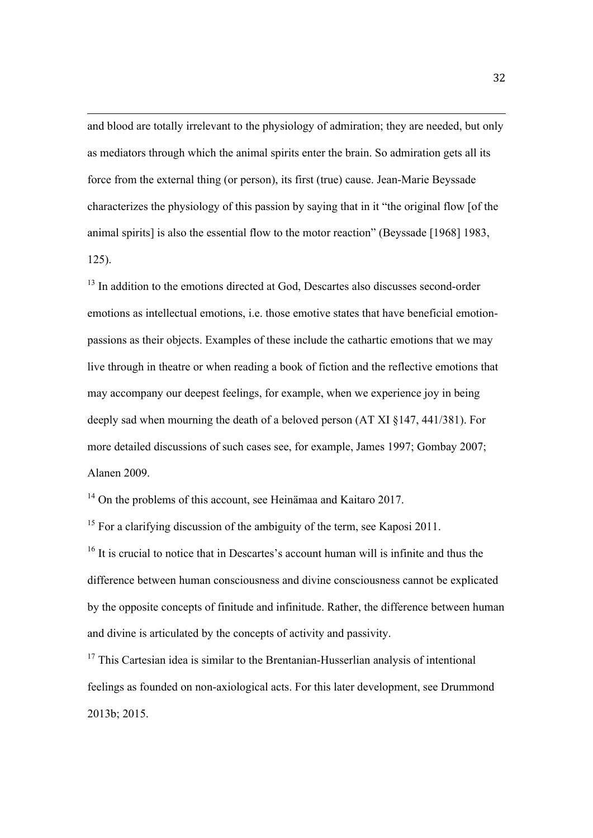and blood are totally irrelevant to the physiology of admiration; they are needed, but only as mediators through which the animal spirits enter the brain. So admiration gets all its force from the external thing (or person), its first (true) cause. Jean-Marie Beyssade characterizes the physiology of this passion by saying that in it "the original flow [of the animal spirits] is also the essential flow to the motor reaction" (Beyssade [1968] 1983, 125).

<u> 1989 - Andrea Santa Andrea Andrea Andrea Andrea Andrea Andrea Andrea Andrea Andrea Andrea Andrea Andrea Andr</u>

<sup>13</sup> In addition to the emotions directed at God, Descartes also discusses second-order emotions as intellectual emotions, i.e. those emotive states that have beneficial emotionpassions as their objects. Examples of these include the cathartic emotions that we may live through in theatre or when reading a book of fiction and the reflective emotions that may accompany our deepest feelings, for example, when we experience joy in being deeply sad when mourning the death of a beloved person (AT XI §147, 441/381). For more detailed discussions of such cases see, for example, James 1997; Gombay 2007; Alanen 2009.

<sup>14</sup> On the problems of this account, see Heinämaa and Kaitaro 2017.

<sup>15</sup> For a clarifying discussion of the ambiguity of the term, see Kaposi 2011.

 $16$  It is crucial to notice that in Descartes's account human will is infinite and thus the difference between human consciousness and divine consciousness cannot be explicated by the opposite concepts of finitude and infinitude. Rather, the difference between human and divine is articulated by the concepts of activity and passivity.

 $17$  This Cartesian idea is similar to the Brentanian-Husserlian analysis of intentional feelings as founded on non-axiological acts. For this later development, see Drummond 2013b; 2015.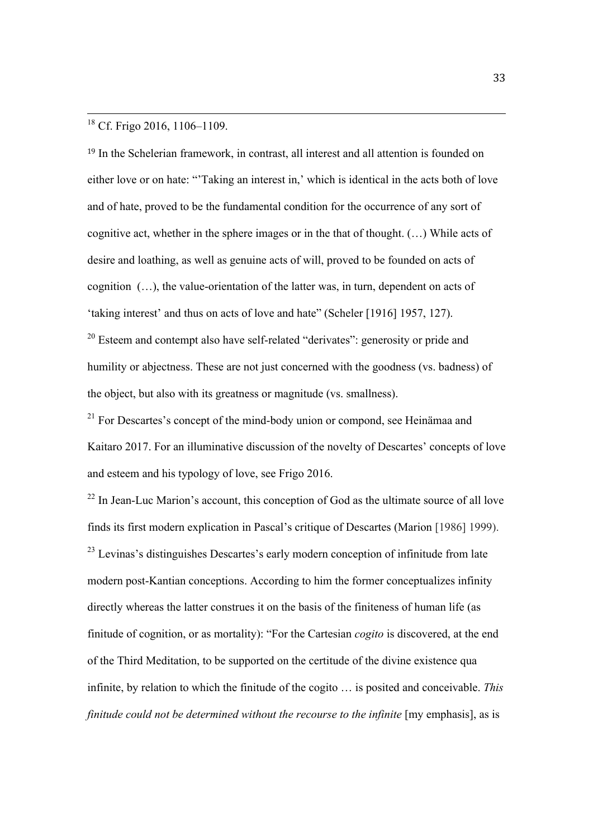## <sup>18</sup> Cf. Frigo 2016, 1106–1109.

<sup>19</sup> In the Schelerian framework, in contrast, all interest and all attention is founded on either love or on hate: "'Taking an interest in,' which is identical in the acts both of love and of hate, proved to be the fundamental condition for the occurrence of any sort of cognitive act, whether in the sphere images or in the that of thought. (…) While acts of desire and loathing, as well as genuine acts of will, proved to be founded on acts of cognition (…), the value-orientation of the latter was, in turn, dependent on acts of 'taking interest' and thus on acts of love and hate" (Scheler [1916] 1957, 127).  $20$  Esteem and contempt also have self-related "derivates": generosity or pride and

humility or abjectness. These are not just concerned with the goodness (vs. badness) of the object, but also with its greatness or magnitude (vs. smallness).

 $^{21}$  For Descartes's concept of the mind-body union or compond, see Heinämaa and Kaitaro 2017. For an illuminative discussion of the novelty of Descartes' concepts of love and esteem and his typology of love, see Frigo 2016.

<sup>22</sup> In Jean-Luc Marion's account, this conception of God as the ultimate source of all love finds its first modern explication in Pascal's critique of Descartes (Marion [1986] 1999). <sup>23</sup> Levinas's distinguishes Descartes's early modern conception of infinitude from late modern post-Kantian conceptions. According to him the former conceptualizes infinity directly whereas the latter construes it on the basis of the finiteness of human life (as finitude of cognition, or as mortality): "For the Cartesian *cogito* is discovered, at the end of the Third Meditation, to be supported on the certitude of the divine existence qua infinite, by relation to which the finitude of the cogito … is posited and conceivable. *This finitude could not be determined without the recourse to the infinite* [my emphasis], as is